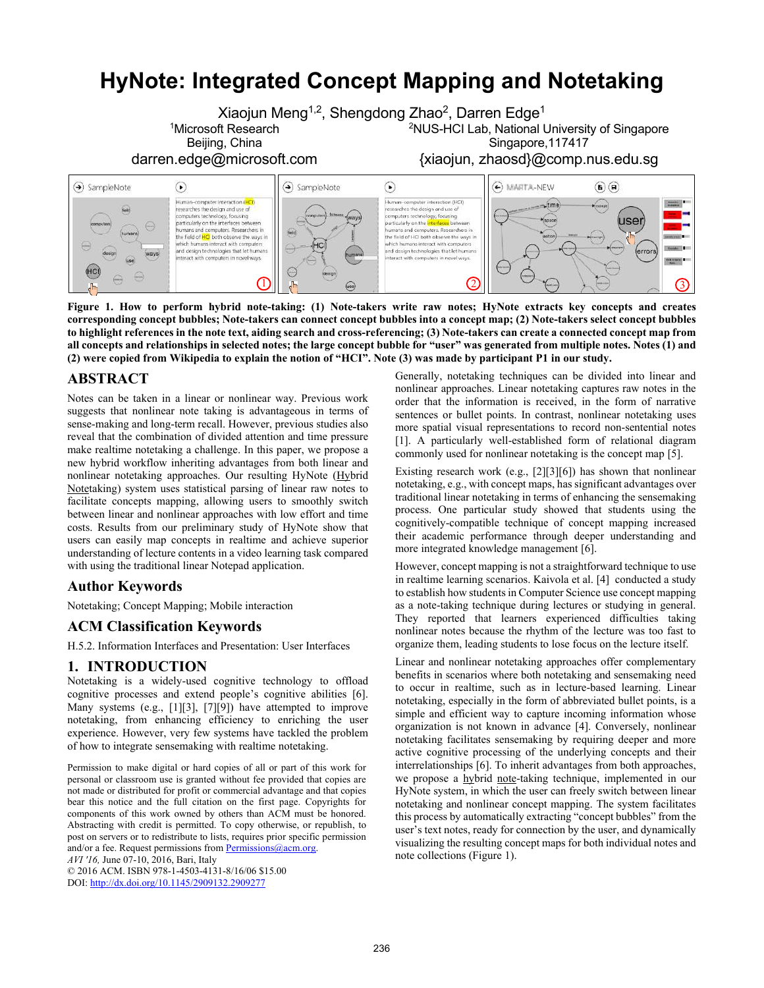# **HyNote: Integrated Concept Mapping and Notetaking**

Xiaojun Meng<sup>1,2</sup>, Shengdong Zhao<sup>2</sup>, Darren Edge<sup>1</sup>

<sup>1</sup>Microsoft Research

Beijing, China

darren.edge@microsoft.com

<sup>2</sup>NUS-HCI Lab, National University of Singapore Singapore,117417

{xiaojun, zhaosd}@comp.nus.edu.sg



<span id="page-0-0"></span>Figure 1. How to perform hybrid note-taking: (1) Note-takers write raw notes; HyNote extracts key concepts and creates **corresponding concept bubbles; Note-takers can connect concept bubbles into a concept map; (2) Note-takers select concept bubbles**  a a a **to highlight references in the note text, aiding search and cross-referencing; (3) Note-takers can create a connected concept map from all concepts and relationships in selected notes; the large concept bubble for "user" was generated from multiple notes. Notes (1) and (2) were copied from Wikipedia to explain the notion of "HCI". Note (3) was made by participant P1 in our study.**

# **ABSTRACT**

Notes can be taken in a linear or nonlinear way. Previous work suggests that nonlinear note taking is advantageous in terms of sense-making and long-term recall. However, previous studies also reveal that the combination of divided attention and time pressure make realtime notetaking a challenge. In this paper, we propose a new hybrid workflow inheriting advantages from both linear and nonlinear notetaking approaches. Our resulting HyNote (Hybrid Notetaking) system uses statistical parsing of linear raw notes to facilitate concepts mapping, allowing users to smoothly switch between linear and nonlinear approaches with low effort and time costs. Results from our preliminary study of HyNote show that users can easily map concepts in realtime and achieve superior understanding of lecture contents in a video learning task compared with using the traditional linear Notepad application.

# **Author Keywords**

Notetaking; Concept Mapping; Mobile interaction

# **ACM Classification Keywords**

H.5.2. Information Interfaces and Presentation: User Interfaces

# **1. INTRODUCTION**

Notetaking is a widely-used cognitive technology to offload cognitive processes and extend people's cognitive abilities [\[6\].](#page-3-0) Many systems (e.g., [\[1\]\[3\],](#page-3-1) [\[7\]\[9\]\)](#page-3-2) have attempted to improve notetaking, from enhancing efficiency to enriching the user experience. However, very few systems have tackled the problem of how to integrate sensemaking with realtime notetaking.

Permission to make digital or hard copies of all or part of this work for personal or classroom use is granted without fee provided that copies are not made or distributed for profit or commercial advantage and that copies bear this notice and the full citation on the first page. Copyrights for components of this work owned by others than ACM must be honored. Abstracting with credit is permitted. To copy otherwise, or republish, to post on servers or to redistribute to lists, requires prior specific permission and/or a fee. Request permissions from [Permissions@acm.org.](mailto:Permissions@acm.org) *AVI '16,* June 07-10, 2016, Bari, Italy © 2016 ACM. ISBN 978-1-4503-4131-8/16/06 \$15.00

DOI: <http://dx.doi.org/10.1145/2909132.2909277>

Generally, notetaking techniques can be divided into linear and nonlinear approaches. Linear notetaking captures raw notes in the order that the information is received, in the form of narrative sentences or bullet points. In contrast, nonlinear notetaking uses more spatial visual representations to record non-sentential notes [\[1\].](#page-3-1) A particularly well-established form of relational diagram commonly used for nonlinear notetaking is the concept map [\[5\].](#page-3-3) 

Existing research work (e.g., [\[2\]\[3\]](#page-3-4)[\[6\]\)](#page-3-0) has shown that nonlinear notetaking, e.g., with concept maps, has significant advantages over traditional linear notetaking in terms of enhancing the sensemaking process. One particular study showed that students using the cognitively-compatible technique of concept mapping increased their academic performance through deeper understanding and more integrated knowledge managemen[t \[6\].](#page-3-0)

However, concept mapping is not a straightforward technique to use in realtime learning scenarios. Kaivola et al. [\[4\]](#page-3-5) conducted a study to establish how students in Computer Science use concept mapping as a note-taking technique during lectures or studying in general. They reported that learners experienced difficulties taking nonlinear notes because the rhythm of the lecture was too fast to organize them, leading students to lose focus on the lecture itself.

Linear and nonlinear notetaking approaches offer complementary benefits in scenarios where both notetaking and sensemaking need to occur in realtime, such as in lecture-based learning. Linear notetaking, especially in the form of abbreviated bullet points, is a simple and efficient way to capture incoming information whose organization is not known in advance [\[4\].](#page-3-5) Conversely, nonlinear notetaking facilitates sensemaking by requiring deeper and more active cognitive processing of the underlying concepts and their interrelationship[s \[6\].](#page-3-0) To inherit advantages from both approaches, we propose a hybrid note-taking technique, implemented in our HyNote system, in which the user can freely switch between linear notetaking and nonlinear concept mapping. The system facilitates this process by automatically extracting "concept bubbles" from the user's text notes, ready for connection by the user, and dynamically visualizing the resulting concept maps for both individual notes and note collections [\(Figure 1\)](#page-0-0).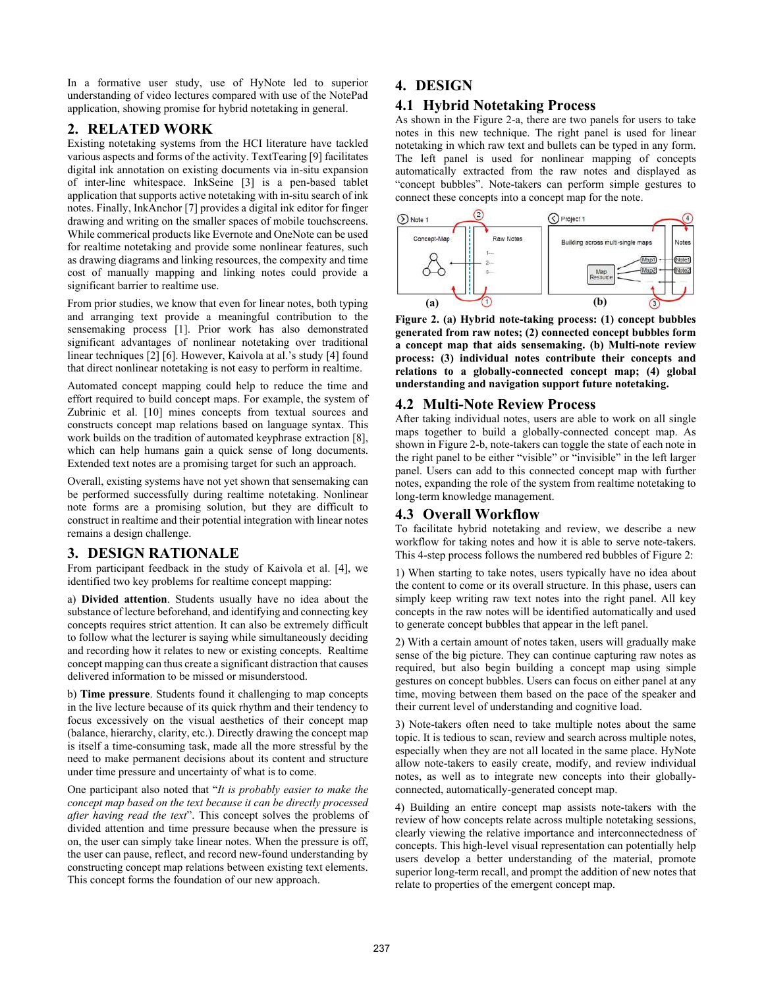In a formative user study, use of HyNote led to superior understanding of video lectures compared with use of the NotePad application, showing promise for hybrid notetaking in general.

## **2. RELATED WORK**

Existing notetaking systems from the HCI literature have tackled various aspects and forms of the activity. TextTearing [\[9\] f](#page-3-6)acilitates digital ink annotation on existing documents via in-situ expansion of inter-line whitespace. InkSeine [\[3\]](#page-3-7) is a pen-based tablet application that supports active notetaking with in-situ search of ink notes. Finally, InkAncho[r \[7\] p](#page-3-2)rovides a digital ink editor for finger drawing and writing on the smaller spaces of mobile touchscreens. While commerical products like Evernote and OneNote can be used for realtime notetaking and provide some nonlinear features, such as drawing diagrams and linking resources, the compexity and time cost of manually mapping and linking notes could provide a significant barrier to realtime use.

From prior studies, we know that even for linear notes, both typing and arranging text provide a meaningful contribution to the sensemaking process [\[1\].](#page-3-1) Prior work has also demonstrated significant advantages of nonlinear notetaking over traditional linear technique[s \[2\]](#page-3-4) [\[6\]](#page-3-0). However, Kaivola at al.'s study [\[4\]](#page-3-5) found that direct nonlinear notetaking is not easy to perform in realtime.

Automated concept mapping could help to reduce the time and effort required to build concept maps. For example, the system of Zubrinic et al. [\[10\]](#page-3-8) mines concepts from textual sources and constructs concept map relations based on language syntax. This work builds on the tradition of automated keyphrase extractio[n \[8\],](#page-3-9) which can help humans gain a quick sense of long documents. Extended text notes are a promising target for such an approach.

Overall, existing systems have not yet shown that sensemaking can be performed successfully during realtime notetaking. Nonlinear note forms are a promising solution, but they are difficult to construct in realtime and their potential integration with linear notes remains a design challenge.

# **3. DESIGN RATIONALE**

From participant feedback in the study of Kaivola et al. [\[4\],](#page-3-5) we identified two key problems for realtime concept mapping:

a) **Divided attention**. Students usually have no idea about the substance of lecture beforehand, and identifying and connecting key concepts requires strict attention. It can also be extremely difficult to follow what the lecturer is saying while simultaneously deciding and recording how it relates to new or existing concepts. Realtime concept mapping can thus create a significant distraction that causes delivered information to be missed or misunderstood.

b) **Time pressure**. Students found it challenging to map concepts in the live lecture because of its quick rhythm and their tendency to focus excessively on the visual aesthetics of their concept map (balance, hierarchy, clarity, etc.). Directly drawing the concept map is itself a time-consuming task, made all the more stressful by the need to make permanent decisions about its content and structure under time pressure and uncertainty of what is to come.

One participant also noted that "*It is probably easier to make the concept map based on the text because it can be directly processed after having read the text*". This concept solves the problems of divided attention and time pressure because when the pressure is on, the user can simply take linear notes. When the pressure is off, the user can pause, reflect, and record new-found understanding by constructing concept map relations between existing text elements. This concept forms the foundation of our new approach.

## **4. DESIGN**

## **4.1 Hybrid Notetaking Process**

As shown in the [Figure 2-](#page-1-0)a, there are two panels for users to take notes in this new technique. The right panel is used for linear notetaking in which raw text and bullets can be typed in any form. The left panel is used for nonlinear mapping of concepts automatically extracted from the raw notes and displayed as "concept bubbles". Note-takers can perform simple gestures to connect these concepts into a concept map for the note.



<span id="page-1-0"></span>**Figure 2. (a) Hybrid note-taking process: (1) concept bubbles generated from raw notes; (2) connected concept bubbles form a concept map that aids sensemaking. (b) Multi-note review process: (3) individual notes contribute their concepts and relations to a globally-connected concept map; (4) global understanding and navigation support future notetaking.** 

## **4.2 Multi-Note Review Process**

After taking individual notes, users are able to work on all single maps together to build a globally-connected concept map. As shown in [Figure 2-](#page-1-0)b, note-takers can toggle the state of each note in the right panel to be either "visible" or "invisible" in the left larger panel. Users can add to this connected concept map with further notes, expanding the role of the system from realtime notetaking to long-term knowledge management.

# **4.3 Overall Workflow**

To facilitate hybrid notetaking and review, we describe a new workflow for taking notes and how it is able to serve note-takers. This 4-step process follows the numbered red bubbles of [Figure 2:](#page-1-0) 

1) When starting to take notes, users typically have no idea about the content to come or its overall structure. In this phase, users can simply keep writing raw text notes into the right panel. All key concepts in the raw notes will be identified automatically and used to generate concept bubbles that appear in the left panel.

2) With a certain amount of notes taken, users will gradually make sense of the big picture. They can continue capturing raw notes as required, but also begin building a concept map using simple gestures on concept bubbles. Users can focus on either panel at any time, moving between them based on the pace of the speaker and their current level of understanding and cognitive load.

3) Note-takers often need to take multiple notes about the same topic. It is tedious to scan, review and search across multiple notes, especially when they are not all located in the same place. HyNote allow note-takers to easily create, modify, and review individual notes, as well as to integrate new concepts into their globallyconnected, automatically-generated concept map.

4) Building an entire concept map assists note-takers with the review of how concepts relate across multiple notetaking sessions, clearly viewing the relative importance and interconnectedness of concepts. This high-level visual representation can potentially help users develop a better understanding of the material, promote superior long-term recall, and prompt the addition of new notes that relate to properties of the emergent concept map.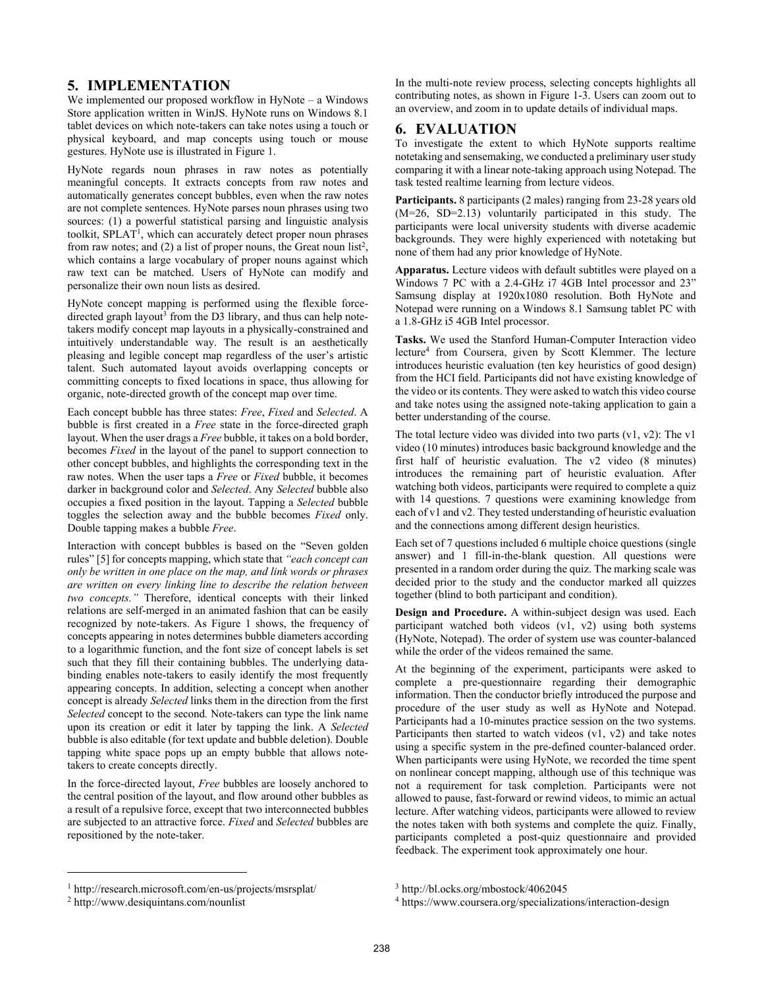## **5. IMPLEMENTATION**

We implemented our proposed workflow in HyNote – a Windows Store application written in WinJS. HyNote runs on Windows 8.1 tablet devices on which note-takers can take notes using a touch or physical keyboard, and map concepts using touch or mouse gestures. HyNote use is illustrated i[n Figure 1.](#page-0-0)

HyNote regards noun phrases in raw notes as potentially meaningful concepts. It extracts concepts from raw notes and automatically generates concept bubbles, even when the raw notes are not complete sentences. HyNote parses noun phrases using two sources: (1) a powerful statistical parsing and linguistic analysis toolkit, SPLAT<sup>1</sup>, which can accurately detect proper noun phrases from raw notes; and  $(2)$  a list of proper nouns, the Great noun list<sup>2</sup>, which contains a large vocabulary of proper nouns against which raw text can be matched. Users of HyNote can modify and personalize their own noun lists as desired.

HyNote concept mapping is performed using the flexible forcedirected graph layout<sup>3</sup> from the D3 library, and thus can help notetakers modify concept map layouts in a physically-constrained and intuitively understandable way. The result is an aesthetically pleasing and legible concept map regardless of the user's artistic talent. Such automated layout avoids overlapping concepts or committing concepts to fixed locations in space, thus allowing for organic, note-directed growth of the concept map over time.

Each concept bubble has three states: *Free*, *Fixed* and *Selected*. A bubble is first created in a *Free* state in the force-directed graph layout. When the user drags a *Free* bubble, it takes on a bold border, becomes *Fixed* in the layout of the panel to support connection to other concept bubbles, and highlights the corresponding text in the raw notes. When the user taps a *Free* or *Fixed* bubble, it becomes darker in background color and *Selected*. Any *Selected* bubble also occupies a fixed position in the layout. Tapping a *Selected* bubble toggles the selection away and the bubble becomes *Fixed* only. Double tapping makes a bubble *Free*.

Interaction with concept bubbles is based on the "Seven golden rules" [\[5\] f](#page-3-3)or concepts mapping, which state that *"each concept can only be written in one place on the map, and link words or phrases are written on every linking line to describe the relation between two concepts."* Therefore, identical concepts with their linked relations are self-merged in an animated fashion that can be easily recognized by note-takers. As [Figure 1](#page-0-0) shows, the frequency of concepts appearing in notes determines bubble diameters according to a logarithmic function, and the font size of concept labels is set such that they fill their containing bubbles. The underlying databinding enables note-takers to easily identify the most frequently appearing concepts. In addition, selecting a concept when another concept is already *Selected* links them in the direction from the first *Selected* concept to the second*.* Note-takers can type the link name upon its creation or edit it later by tapping the link. A *Selected*  bubble is also editable (for text update and bubble deletion). Double tapping white space pops up an empty bubble that allows notetakers to create concepts directly.

In the force-directed layout, *Free* bubbles are loosely anchored to the central position of the layout, and flow around other bubbles as a result of a repulsive force, except that two interconnected bubbles are subjected to an attractive force. *Fixed* and *Selected* bubbles are repositioned by the note-taker.

In the multi-note review process, selecting concepts highlights all contributing notes, as shown in [Figure 1-](#page-0-0)3. Users can zoom out to an overview, and zoom in to update details of individual maps.

#### **6. EVALUATION**

To investigate the extent to which HyNote supports realtime notetaking and sensemaking, we conducted a preliminary user study comparing it with a linear note-taking approach using Notepad. The task tested realtime learning from lecture videos.

**Participants.** 8 participants (2 males) ranging from 23-28 years old (M=26, SD=2.13) voluntarily participated in this study. The participants were local university students with diverse academic backgrounds. They were highly experienced with notetaking but none of them had any prior knowledge of HyNote.

**Apparatus.** Lecture videos with default subtitles were played on a Windows 7 PC with a 2.4-GHz i7 4GB Intel processor and 23" Samsung display at 1920x1080 resolution. Both HyNote and Notepad were running on a Windows 8.1 Samsung tablet PC with a 1.8-GHz i5 4GB Intel processor.

**Tasks.** We used the Stanford Human-Computer Interaction video lecture<sup>4</sup> from Coursera, given by Scott Klemmer. The lecture introduces heuristic evaluation (ten key heuristics of good design) from the HCI field. Participants did not have existing knowledge of the video or its contents. They were asked to watch this video course and take notes using the assigned note-taking application to gain a better understanding of the course.

The total lecture video was divided into two parts (v1, v2): The v1 video (10 minutes) introduces basic background knowledge and the first half of heuristic evaluation. The v2 video (8 minutes) introduces the remaining part of heuristic evaluation. After watching both videos, participants were required to complete a quiz with 14 questions. 7 questions were examining knowledge from each of v1 and v2. They tested understanding of heuristic evaluation and the connections among different design heuristics.

Each set of 7 questions included 6 multiple choice questions (single answer) and 1 fill-in-the-blank question. All questions were presented in a random order during the quiz. The marking scale was decided prior to the study and the conductor marked all quizzes together (blind to both participant and condition).

**Design and Procedure.** A within-subject design was used. Each participant watched both videos (v1, v2) using both systems (HyNote, Notepad). The order of system use was counter-balanced while the order of the videos remained the same.

At the beginning of the experiment, participants were asked to complete a pre-questionnaire regarding their demographic information. Then the conductor briefly introduced the purpose and procedure of the user study as well as HyNote and Notepad. Participants had a 10-minutes practice session on the two systems. Participants then started to watch videos (v1, v2) and take notes using a specific system in the pre-defined counter-balanced order. When participants were using HyNote, we recorded the time spent on nonlinear concept mapping, although use of this technique was not a requirement for task completion. Participants were not allowed to pause, fast-forward or rewind videos, to mimic an actual lecture. After watching videos, participants were allowed to review the notes taken with both systems and complete the quiz. Finally, participants completed a post-quiz questionnaire and provided feedback. The experiment took approximately one hour.

 $\overline{a}$ 

<sup>1</sup> http://research.microsoft.com/en-us/projects/msrsplat/

<sup>2</sup> http://www.desiquintans.com/nounlist

<sup>3</sup> http://bl.ocks.org/mbostock/4062045

<sup>4</sup> https://www.coursera.org/specializations/interaction-design